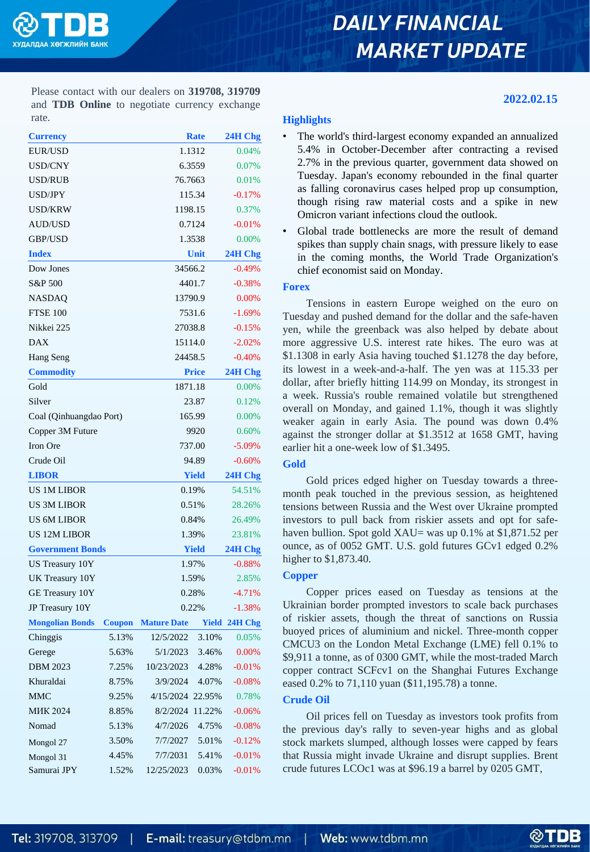

# **DAILY FINANCIAL MARKET UPDATE**

**2022.02.15**

Please contact with our dealers on **319708, 319709** and **TDB Online** to negotiate currency exchange rate.

| <b>Currency</b>         |               |                    | <b>Rate</b>  | 24H Chg  |  |
|-------------------------|---------------|--------------------|--------------|----------|--|
| EUR/USD                 |               |                    | 1.1312       |          |  |
| <b>USD/CNY</b>          |               |                    | 6.3559       |          |  |
| USD/RUB                 |               | 76.7663            | 0.01%        |          |  |
| USD/JPY                 |               |                    | 115.34       |          |  |
| <b>USD/KRW</b>          |               | 1198.15            |              | 0.37%    |  |
| <b>AUD/USD</b>          |               |                    | 0.7124       |          |  |
| GBP/USD                 |               |                    | 1.3538       |          |  |
| <b>Index</b>            |               |                    | Unit         |          |  |
| Dow Jones               |               | 34566.2            | $-0.49%$     |          |  |
| S&P 500                 |               | 4401.7             | $-0.38%$     |          |  |
| NASDAQ                  |               | 13790.9            | 0.00%        |          |  |
| <b>FTSE 100</b>         |               | 7531.6             | $-1.69%$     |          |  |
| Nikkei 225              |               | 27038.8            | $-0.15%$     |          |  |
| <b>DAX</b>              |               | 15114.0            | $-2.02%$     |          |  |
| Hang Seng               |               |                    | 24458.5      |          |  |
| <b>Commodity</b>        |               |                    | <b>Price</b> |          |  |
| Gold                    |               |                    | 1871.18      |          |  |
| Silver                  |               |                    | 23.87        |          |  |
| Coal (Qinhuangdao Port) |               |                    | 165.99       |          |  |
| Copper 3M Future        |               | 9920               | 0.60%        |          |  |
| Iron Ore                |               | 737.00             | $-5.09%$     |          |  |
| Crude Oil               |               | 94.89              | $-0.60%$     |          |  |
| <b>LIBOR</b>            |               | <b>Yield</b>       | 24H Chg      |          |  |
| <b>US 1M LIBOR</b>      |               |                    | 0.19%        |          |  |
| <b>US 3M LIBOR</b>      |               | 0.51%              | 28.26%       |          |  |
| <b>US 6M LIBOR</b>      |               | 0.84%              | 26.49%       |          |  |
| <b>US 12M LIBOR</b>     |               | 1.39%              | 23.81%       |          |  |
| <b>Government Bonds</b> |               | <b>Yield</b>       | 24H Chg      |          |  |
| <b>US Treasury 10Y</b>  |               | 1.97%              | $-0.88%$     |          |  |
| UK Treasury 10Y         |               | 1.59%              | 2.85%        |          |  |
| GE Treasury 10Y         |               | 0.28%              | $-4.71%$     |          |  |
| JP Treasury 10Y         |               | 0.22%              | $-1.38%$     |          |  |
| <b>Mongolian Bonds</b>  | <b>Coupon</b> | <b>Mature Date</b> | Yield        | 24H Chg  |  |
| Chinggis                | 5.13%         | 12/5/2022          | 3.10%        | 0.05%    |  |
| Gerege                  | 5.63%         | 5/1/2023           | 3.46%        | 0.00%    |  |
| <b>DBM 2023</b>         | 7.25%         | 10/23/2023         | 4.28%        | $-0.01%$ |  |
| Khuraldai               | 8.75%         | 3/9/2024           | 4.07%        | $-0.08%$ |  |
| <b>MMC</b>              | 9.25%         | 4/15/2024          | 22.95%       | 0.78%    |  |
| <b>MHK 2024</b>         | 8.85%         | 8/2/2024           | 11.22%       | $-0.06%$ |  |
| Nomad                   | 5.13%         | 4/7/2026           | 4.75%        | $-0.08%$ |  |
| Mongol 27               | 3.50%         | 7/7/2027           | 5.01%        | $-0.12%$ |  |
| Mongol 31               | 4.45%         | 7/7/2031           | 5.41%        | $-0.01%$ |  |
| Samurai JPY             | 1.52%         | 12/25/2023         | 0.03%        | $-0.01%$ |  |

### **Highlights**

- The world's third-largest economy expanded an annualized 5.4% in October-December after contracting a revised 2.7% in the previous quarter, government data showed on Tuesday. Japan's economy rebounded in the final quarter as falling coronavirus cases helped prop up consumption, though rising raw material costs and a spike in new Omicron variant infections cloud the outlook.
- Global trade bottlenecks are more the result of demand spikes than supply chain snags, with pressure likely to ease in the coming months, the World Trade Organization's chief economist said on Monday.

### **Forex**

Tensions in eastern Europe weighed on the euro on Tuesday and pushed demand for the dollar and the safe-haven yen, while the greenback was also helped by debate about more aggressive U.S. interest rate hikes. The euro was at \$1.1308 in early Asia having touched \$1.1278 the day before, its lowest in a week-and-a-half. The yen was at 115.33 per dollar, after briefly hitting 114.99 on Monday, its strongest in a week. Russia's rouble remained volatile but strengthened overall on Monday, and gained 1.1%, though it was slightly weaker again in early Asia. The pound was down 0.4% against the stronger dollar at \$1.3512 at 1658 GMT, having earlier hit a one-week low of \$1.3495.

## **Gold**

Gold prices edged higher on Tuesday towards a threemonth peak touched in the previous session, as heightened tensions between Russia and the West over Ukraine prompted investors to pull back from riskier assets and opt for safehaven bullion. Spot gold XAU= was up 0.1% at \$1,871.52 per ounce, as of 0052 GMT. U.S. gold futures GCv1 edged 0.2% higher to \$1,873.40.

### **Copper**

Copper prices eased on Tuesday as tensions at the Ukrainian border prompted investors to scale back purchases of riskier assets, though the threat of sanctions on Russia buoyed prices of aluminium and nickel. Three-month copper CMCU3 on the London Metal Exchange (LME) fell 0.1% to \$9,911 a tonne, as of 0300 GMT, while the most-traded March copper contract SCFcv1 on the Shanghai Futures Exchange eased 0.2% to 71,110 yuan (\$11,195.78) a tonne.

### **Crude Oil**

Oil prices fell on Tuesday as investors took profits from the previous day's rally to seven-year highs and as global stock markets slumped, although losses were capped by fears that Russia might invade Ukraine and disrupt supplies. Brent crude futures LCOc1 was at \$96.19 a barrel by 0205 GMT,